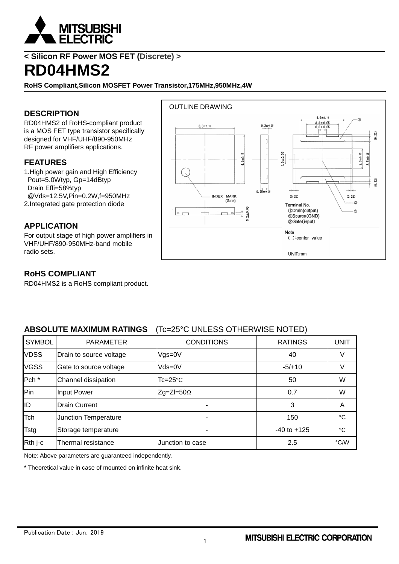

# **< Silicon RF Power MOS FET (Discrete) >**

# **RD04HMS2**

**RoHS Compliant,Silicon MOSFET Power Transistor,175MHz,950MHz,4W**

#### **DESCRIPTION**

RD04HMS2 of RoHS-compliant product is a MOS FET type transistor specifically designed for VHF/UHF/890-950MHz RF power amplifiers applications.

#### **FEATURES**

1.High power gain and High Efficiency Pout=5.0Wtyp, Gp=14dBtyp Drain Effi=58%typ @Vds=12.5V,Pin=0.2W,f=950MHz 2.Integrated gate protection diode

#### **APPLICATION**

For output stage of high power amplifiers in VHF/UHF/890-950MHz-band mobile radio sets.



#### **RoHS COMPLIANT**

RD04HMS2 is a RoHS compliant product.

#### **ABSOLUTE MAXIMUM RATINGS** (Tc=25°C UNLESS OTHERWISE NOTED)

| <b>SYMBOL</b>    | <b>PARAMETER</b>        | <b>CONDITIONS</b>  | <b>RATINGS</b>  | <b>UNIT</b> |
|------------------|-------------------------|--------------------|-----------------|-------------|
| <b>VDSS</b>      | Drain to source voltage | $V$ gs=0 $V$       | 40              |             |
| <b>VGSS</b>      | Gate to source voltage  | $Vds = 0V$         | $-5/+10$        | V           |
| Pch <sup>*</sup> | Channel dissipation     | $Tc = 25^{\circ}C$ | 50              | W           |
| Pin              | <b>Input Power</b>      | $Zg=ZI=50\Omega$   | 0.7             | W           |
| ID               | <b>Drain Current</b>    |                    | 3               | A           |
| Tch              | Junction Temperature    |                    | 150             | °C          |
| <b>Tstg</b>      | Storage temperature     |                    | $-40$ to $+125$ | $^{\circ}C$ |
| Rth j-c          | Thermal resistance      | Junction to case   | 2.5             | °C/W        |

Note: Above parameters are guaranteed independently.

\* Theoretical value in case of mounted on infinite heat sink.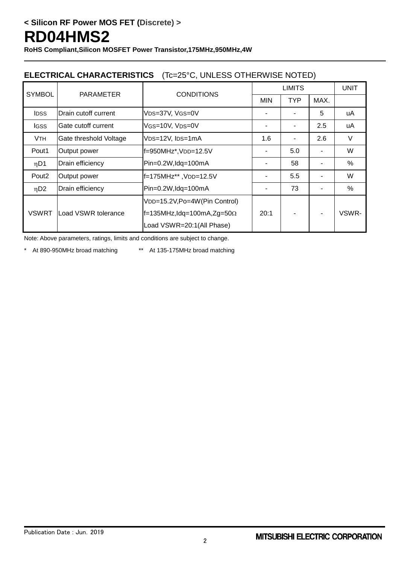**RoHS Compliant,Silicon MOSFET Power Transistor,175MHz,950MHz,4W**

### **ELECTRICAL CHARACTERISTICS** (Tc=25°C, UNLESS OTHERWISE NOTED)

| <b>SYMBOL</b>         | <b>PARAMETER</b>       | <b>CONDITIONS</b>                          | <b>LIMITS</b> |            |      | <b>UNIT</b> |
|-----------------------|------------------------|--------------------------------------------|---------------|------------|------|-------------|
|                       |                        |                                            | <b>MIN</b>    | <b>TYP</b> | MAX. |             |
| <b>IDSS</b>           | Drain cutoff current   | VDS=37V, VGS=0V                            |               |            | 5    | uA          |
| lgss                  | Gate cutoff current    | VGS=10V, VDS=0V                            |               |            | 2.5  | uA          |
| <b>V<sub>TH</sub></b> | Gate threshold Voltage | V <sub>DS=12V</sub> , I <sub>DS=1</sub> mA | 1.6           |            | 2.6  | V           |
| Pout1                 | Output power           | f=950MHz*,VDD=12.5V                        |               | 5.0        |      | W           |
| $\eta$ D1             | Drain efficiency       | Pin=0.2W,Idq=100mA                         |               | 58         |      | %           |
| Pout <sub>2</sub>     | Output power           | f=175MHz**, VDD=12.5V                      |               | 5.5        |      | W           |
| $\eta$ D <sub>2</sub> | Drain efficiency       | Pin=0.2W,Idq=100mA                         |               | 73         |      | %           |
|                       |                        | VDD=15.2V, Po=4W (Pin Control)             |               |            |      |             |
| <b>VSWRT</b>          | Load VSWR tolerance    | $ f=135$ MHz,Idq=100mA,Zg=50 $\Omega$      | 20:1          |            |      | VSWR-       |
|                       |                        | Load VSWR=20:1(All Phase)                  |               |            |      |             |

Note: Above parameters, ratings, limits and conditions are subject to change.

\* At 890-950MHz broad matching \*\* At 135-175MHz broad matching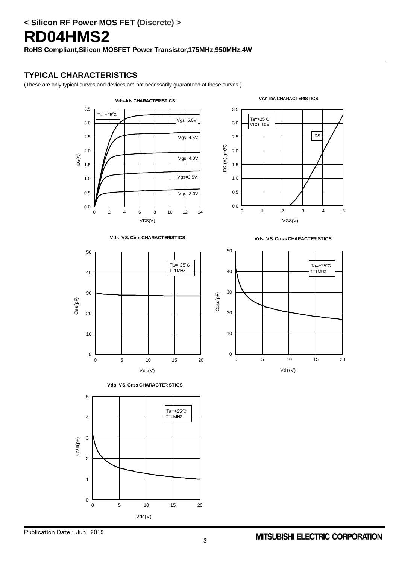### **TYPICAL CHARACTERISTICS**













**Vds VS. Coss CHARACTERISTICS**

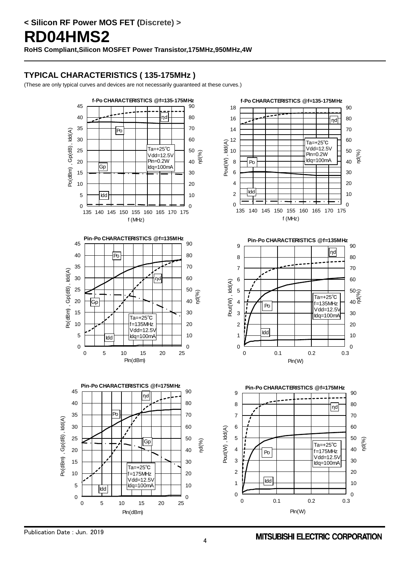# **TYPICAL CHARACTERISTICS ( 135-175MHz )**

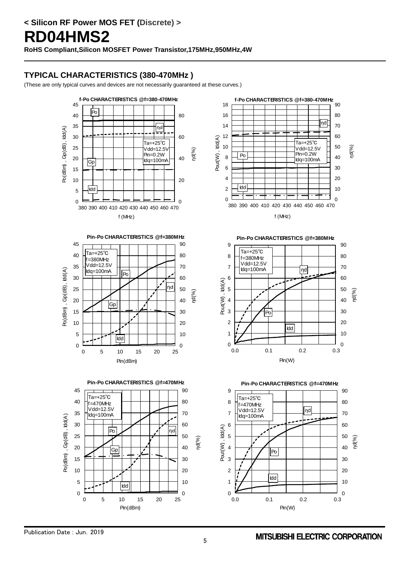## **TYPICAL CHARACTERISTICS (380-470MHz )**









**Pin-Po CHARACTERISTICS @f=380MHz<br>
Ta=+25<sup>°</sup>C<br>
f=380MHz<br>
Vdd=12.5V**  |Ta=+25℃<br>|f=380MHz Vdd=12.5V Idq=100mA ηd Pout(W), Idd(A) ηd(%) Pout(W), Po Idd  $\overline{0}$  $\overline{0}$ 0.0 0.1 0.2 0.3 Pin(W)

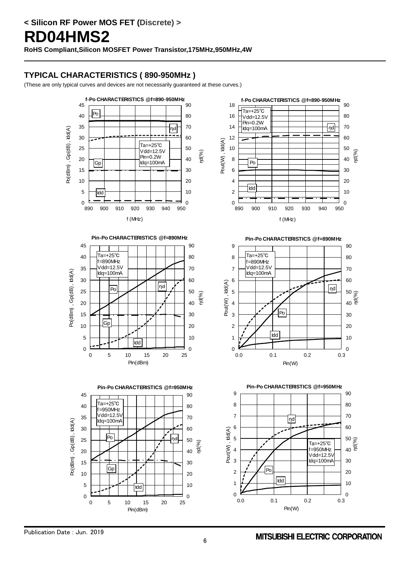## **TYPICAL CHARACTERISTICS ( 890-950MHz )**









**f-Po CHARACTERISTICS @f=890-950MHz** Ta=+25℃ Vdd-12.5V Pin=0.2W  $|n$ d Idq=100mA Pout(W), Idd(A) Pout(W) , Idd(A) ηd(%) Po Idd  $\frac{1}{890}$  $\frac{}{\overline{\mathrm{}}_{950}^{0}}$  900 910 920 930 940 950 f (MHz)



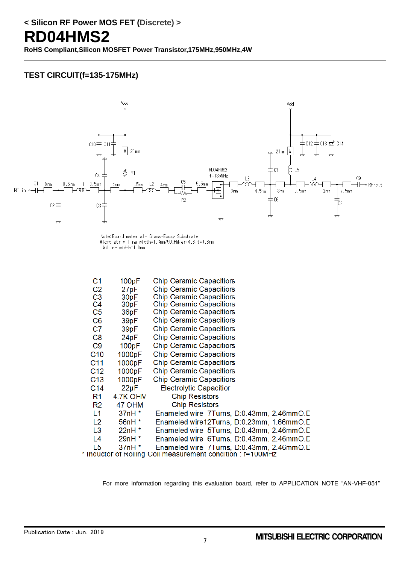#### **TEST CIRCUIT(f=135-175MHz)**



Note:Board material- Glass-Epoxy Substrate<br>Micro strip line width=1.3mm/500HM,er:4.8,t=0.8mm<br>W:Line width=1.0mm

| C1              | 100pF                                                     | <b>Chip Ceramic Capacitiors</b>           |  |  |  |  |  |
|-----------------|-----------------------------------------------------------|-------------------------------------------|--|--|--|--|--|
| C <sub>2</sub>  | 27pF                                                      | <b>Chip Ceramic Capacitiors</b>           |  |  |  |  |  |
| C <sub>3</sub>  | 30pF                                                      | <b>Chip Ceramic Capacitiors</b>           |  |  |  |  |  |
| C <sub>4</sub>  | 30 <sub>pF</sub>                                          | <b>Chip Ceramic Capacitiors</b>           |  |  |  |  |  |
| C <sub>5</sub>  | 36pF                                                      | <b>Chip Ceramic Capacitiors</b>           |  |  |  |  |  |
| C <sub>6</sub>  | 39pF                                                      | <b>Chip Ceramic Capacitiors</b>           |  |  |  |  |  |
| C7              | 39pF                                                      | <b>Chip Ceramic Capacitiors</b>           |  |  |  |  |  |
| C8              | 24pF                                                      | <b>Chip Ceramic Capacitiors</b>           |  |  |  |  |  |
| C9              | 100pF                                                     | <b>Chip Ceramic Capacitiors</b>           |  |  |  |  |  |
| C10             | 1000pF                                                    | <b>Chip Ceramic Capacitiors</b>           |  |  |  |  |  |
| C <sub>11</sub> | 1000pF                                                    | <b>Chip Ceramic Capacitiors</b>           |  |  |  |  |  |
| C12             | 1000pF                                                    | <b>Chip Ceramic Capacitiors</b>           |  |  |  |  |  |
| C <sub>13</sub> | 1000pF                                                    | <b>Chip Ceramic Capacitiors</b>           |  |  |  |  |  |
| C <sub>14</sub> | $22\mu F$                                                 | <b>Electrolytic Capacitior</b>            |  |  |  |  |  |
| R <sub>1</sub>  | 4.7K OHN                                                  | <b>Chip Resistors</b>                     |  |  |  |  |  |
| R2              | 47 OHM                                                    | <b>Chip Resistors</b>                     |  |  |  |  |  |
| L1              | 37nH *                                                    | Enameled wire 7Turns, D:0.43mm, 2.46mmO.D |  |  |  |  |  |
| L <sub>2</sub>  | 56nH *                                                    | Enameled wire12Turns, D:0.23mm, 1.66mmO.D |  |  |  |  |  |
| L <sub>3</sub>  | 22nH *                                                    | Enameled wire 5Turns, D:0.43mm, 2.46mmO.D |  |  |  |  |  |
| L <sub>4</sub>  | 29nH *                                                    | Enameled wire 6Turns, D:0.43mm, 2.46mmO.D |  |  |  |  |  |
| L <sub>5</sub>  | $37nH*$                                                   | Enameled wire 7Turns, D:0.43mm, 2.46mmO.D |  |  |  |  |  |
|                 | Inductor of Rolling Coil measurement condition : t=100MHz |                                           |  |  |  |  |  |

For more information regarding this evaluation board, refer to APPLICATION NOTE "AN-VHF-051"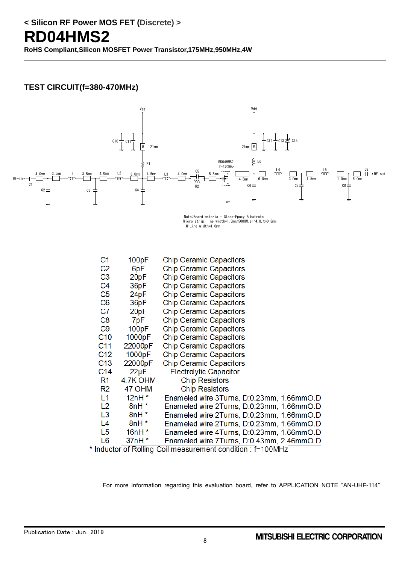#### **TEST CIRCUIT(f=380-470MHz)**



Note:Board material- Glass-Epoxy Substrate<br>Micro strip line width=1.3mm/500HM,er:4.8,t=0.8mm W:Line width=1.0mm

| C1              | 100pF                    | <b>Chip Ceramic Capacitors</b>            |
|-----------------|--------------------------|-------------------------------------------|
| C <sub>2</sub>  | 6pF                      | <b>Chip Ceramic Capacitors</b>            |
| C <sub>3</sub>  | 20pF                     | <b>Chip Ceramic Capacitors</b>            |
| C <sub>4</sub>  | 36pF                     | <b>Chip Ceramic Capacitors</b>            |
| C <sub>5</sub>  | 24pF                     | <b>Chip Ceramic Capacitors</b>            |
| C <sub>6</sub>  | 36pF                     | <b>Chip Ceramic Capacitors</b>            |
| C7              | 20pF                     | <b>Chip Ceramic Capacitors</b>            |
| C <sub>8</sub>  | 7pF                      | <b>Chip Ceramic Capacitors</b>            |
| C <sub>9</sub>  | 100pF                    | <b>Chip Ceramic Capacitors</b>            |
| C <sub>10</sub> | 1000pF                   | <b>Chip Ceramic Capacitors</b>            |
| C11             | 22000pF                  | <b>Chip Ceramic Capacitors</b>            |
| C <sub>12</sub> | 1000pF                   | <b>Chip Ceramic Capacitors</b>            |
| C <sub>13</sub> | 22000pF                  | <b>Chip Ceramic Capacitors</b>            |
| C <sub>14</sub> | $22\mu F$                | <b>Electrolytic Capacitor</b>             |
| R1              | 4.7K OHN                 | <b>Chip Resistors</b>                     |
| R <sub>2</sub>  | 47 OHM                   | <b>Chip Resistors</b>                     |
| L <sub>1</sub>  | 12nH $*$                 | Enameled wire 3Turns, D:0.23mm, 1.66mmO.D |
| L <sub>2</sub>  | $8nH*$                   | Enameled wire 2Turns, D:0.23mm, 1.66mmO.D |
| L <sub>3</sub>  | $8nH*$                   | Enameled wire 2Turns, D:0.23mm, 1.66mmO.D |
| L4              | $8nH*$                   | Enameled wire 2Turns, D:0.23mm, 1.66mmO.D |
| L5              | $16nH*$                  | Enameled wire 4Turns, D:0.23mm, 1.66mmO.D |
| L6              | $37nH*$                  | Enameled wire 7Turns, D:0.43mm, 2.46mmO.D |
|                 | $\overline{\phantom{a}}$ |                                           |

\* Inductor of Rolling Coil measurement condition : f=100MHz

For more information regarding this evaluation board, refer to APPLICATION NOTE "AN-UHF-114"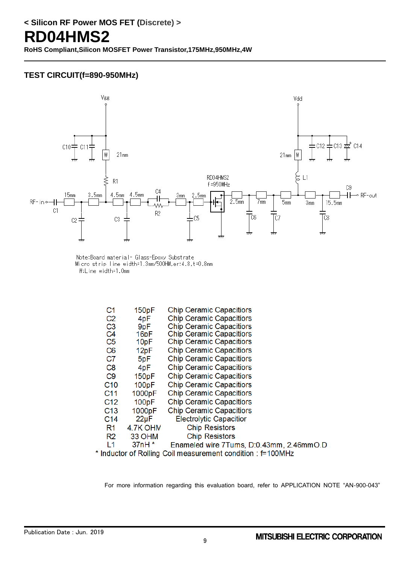#### **TEST CIRCUIT(f=890-950MHz)**



Note:Board material- Glass-Epoxy Substrate Micro strip line width=1.3mm/500HM,er:4.8,t=0.8mm W:Line width=1.0mm

| C1              | 150pF            | <b>Chip Ceramic Capacitiors</b>          |
|-----------------|------------------|------------------------------------------|
| C <sub>2</sub>  | 4pF              | <b>Chip Ceramic Capacitiors</b>          |
| C <sub>3</sub>  | 9pF              | <b>Chip Ceramic Capacitiors</b>          |
| C <sub>4</sub>  | 16 <sub>pF</sub> | <b>Chip Ceramic Capacitiors</b>          |
| C <sub>5</sub>  | 10 <sub>pF</sub> | <b>Chip Ceramic Capacitiors</b>          |
| C <sub>6</sub>  | 12pF             | <b>Chip Ceramic Capacitiors</b>          |
| C7              | 5pF              | <b>Chip Ceramic Capacitiors</b>          |
| C8              | 4pF              | <b>Chip Ceramic Capacitiors</b>          |
| C <sub>9</sub>  | 150pF            | <b>Chip Ceramic Capacitiors</b>          |
| C <sub>10</sub> | 100pF            | <b>Chip Ceramic Capacitiors</b>          |
| C <sub>11</sub> | 1000pF           | <b>Chip Ceramic Capacitiors</b>          |
| C <sub>12</sub> | 100pF            | <b>Chip Ceramic Capacitiors</b>          |
| C <sub>13</sub> | 1000pF           | <b>Chip Ceramic Capacitiors</b>          |
| C <sub>14</sub> | $22\mu F$        | <b>Electrolytic Capacitior</b>           |
| R1              | 4.7K OHN         | <b>Chip Resistors</b>                    |
| R2              | 33 OHM           | <b>Chip Resistors</b>                    |
| L1              | $37nH*$          | Enameled wire 7Tums, D:0.43mm, 2.46mmO.D |
|                 |                  |                                          |

\* Inductor of Rolling Coil measurement condition : f=100MHz

For more information regarding this evaluation board, refer to APPLICATION NOTE "AN-900-043"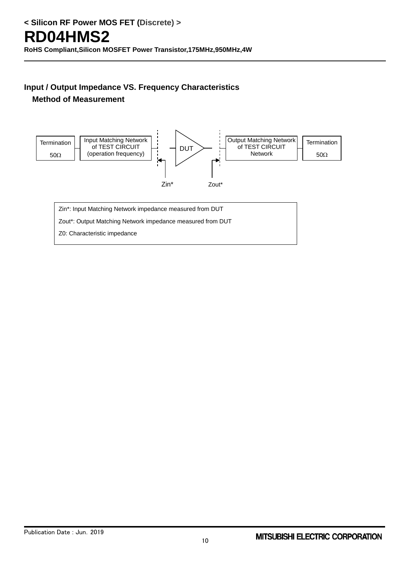## **Method of Measurement**



Zin\*: Input Matching Network impedance measured from DUT

Zout\*: Output Matching Network impedance measured from DUT

Z0: Characteristic impedance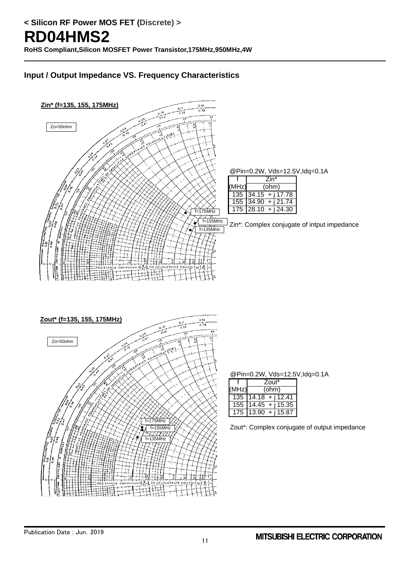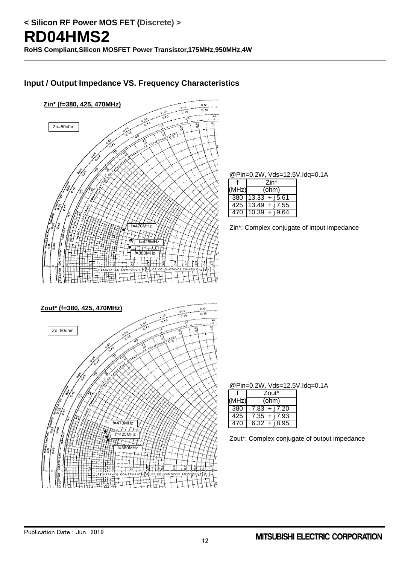

@Pin=0.2W, Vds=12.5V,Idq=0.1A

|       | Zin*                            |  |  |  |
|-------|---------------------------------|--|--|--|
| (MHz) | (ohm)                           |  |  |  |
|       | $380$ 13.33 + j5.61             |  |  |  |
|       | $\overline{425}$ 13.49 + j 7.55 |  |  |  |
|       | $470$ 10.39 + j9.64             |  |  |  |

Zin\*: Complex conjugate of intput impedance

@Pin=0.2W, Vds=12.5V,Idq=0.1A

|       | Zout*           |  |  |  |
|-------|-----------------|--|--|--|
| (MHz) | (ohm)           |  |  |  |
| 380   | $7.83 + i7.20$  |  |  |  |
| 425   | $7.35 + i7.93$  |  |  |  |
| 470   | $6.32 + i 8.95$ |  |  |  |

Zout\*: Complex conjugate of output impedance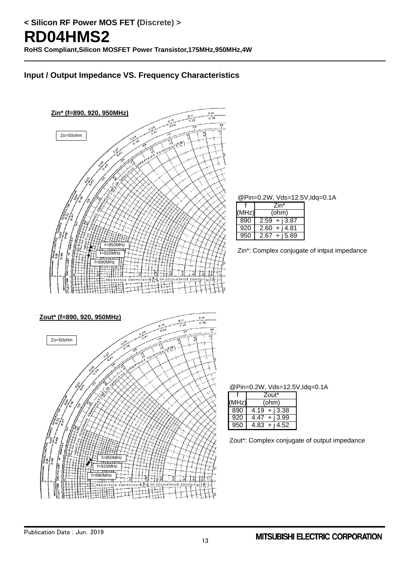

@Pin=0.2W, Vds=12.5V,Idq=0.1A

|       | Zin*               |  |  |  |
|-------|--------------------|--|--|--|
| (MHz) | (ohm)              |  |  |  |
| 890   | $2.59 + i3.87$     |  |  |  |
| 920   | 2.60<br>$+$ i 4.81 |  |  |  |
| 950   | + i 5.69<br>2.67   |  |  |  |

Zin\*: Complex conjugate of intput impedance

@Pin=0.2W, Vds=12.5V,Idq=0.1A

|      | Zout*              |
|------|--------------------|
| MHz) | (ohm)              |
| 890  | $+$ i 3.38<br>4.19 |
| 920  | $4.47 + i3.99$     |
| 950  | $4.83 + 14.52$     |

Zout\*: Complex conjugate of output impedance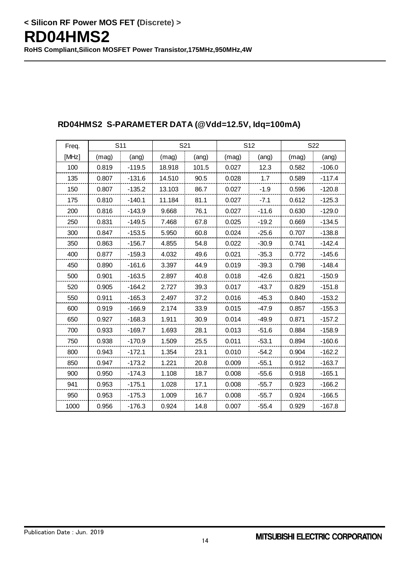| Freq. |       | S <sub>11</sub> |        | S21   | S <sub>12</sub> |         | S22   |          |
|-------|-------|-----------------|--------|-------|-----------------|---------|-------|----------|
| [MHz] | (mag) | (ang)           | (mag)  | (ang) | (mag)           | (ang)   | (mag) | (ang)    |
| 100   | 0.819 | $-119.5$        | 18.918 | 101.5 | 0.027           | 12.3    | 0.582 | $-106.0$ |
| 135   | 0.807 | $-131.6$        | 14.510 | 90.5  | 0.028           | 1.7     | 0.589 | $-117.4$ |
| 150   | 0.807 | $-135.2$        | 13.103 | 86.7  | 0.027           | $-1.9$  | 0.596 | $-120.8$ |
| 175   | 0.810 | $-140.1$        | 11.184 | 81.1  | 0.027           | $-7.1$  | 0.612 | $-125.3$ |
| 200   | 0.816 | $-143.9$        | 9.668  | 76.1  | 0.027           | $-11.6$ | 0.630 | $-129.0$ |
| 250   | 0.831 | $-149.5$        | 7.468  | 67.8  | 0.025           | $-19.2$ | 0.669 | $-134.5$ |
| 300   | 0.847 | $-153.5$        | 5.950  | 60.8  | 0.024           | $-25.6$ | 0.707 | $-138.8$ |
| 350   | 0.863 | $-156.7$        | 4.855  | 54.8  | 0.022           | $-30.9$ | 0.741 | $-142.4$ |
| 400   | 0.877 | $-159.3$        | 4.032  | 49.6  | 0.021           | $-35.3$ | 0.772 | $-145.6$ |
| 450   | 0.890 | $-161.6$        | 3.397  | 44.9  | 0.019           | $-39.3$ | 0.798 | $-148.4$ |
| 500   | 0.901 | $-163.5$        | 2.897  | 40.8  | 0.018           | $-42.6$ | 0.821 | $-150.9$ |
| 520   | 0.905 | $-164.2$        | 2.727  | 39.3  | 0.017           | $-43.7$ | 0.829 | $-151.8$ |
| 550   | 0.911 | $-165.3$        | 2.497  | 37.2  | 0.016           | $-45.3$ | 0.840 | $-153.2$ |
| 600   | 0.919 | $-166.9$        | 2.174  | 33.9  | 0.015           | $-47.9$ | 0.857 | $-155.3$ |
| 650   | 0.927 | $-168.3$        | 1.911  | 30.9  | 0.014           | $-49.9$ | 0.871 | $-157.2$ |
| 700   | 0.933 | $-169.7$        | 1.693  | 28.1  | 0.013           | $-51.6$ | 0.884 | $-158.9$ |
| 750   | 0.938 | $-170.9$        | 1.509  | 25.5  | 0.011           | $-53.1$ | 0.894 | $-160.6$ |
| 800   | 0.943 | $-172.1$        | 1.354  | 23.1  | 0.010           | $-54.2$ | 0.904 | $-162.2$ |
| 850   | 0.947 | $-173.2$        | 1.221  | 20.8  | 0.009           | $-55.1$ | 0.912 | $-163.7$ |
| 900   | 0.950 | $-174.3$        | 1.108  | 18.7  | 0.008           | $-55.6$ | 0.918 | $-165.1$ |
| 941   | 0.953 | $-175.1$        | 1.028  | 17.1  | 0.008           | $-55.7$ | 0.923 | $-166.2$ |
| 950   | 0.953 | $-175.3$        | 1.009  | 16.7  | 0.008           | $-55.7$ | 0.924 | $-166.5$ |
| 1000  | 0.956 | $-176.3$        | 0.924  | 14.8  | 0.007           | $-55.4$ | 0.929 | $-167.8$ |

### **RD04HMS2 S-PARAMETER DATA (@Vdd=12.5V, Idq=100mA)**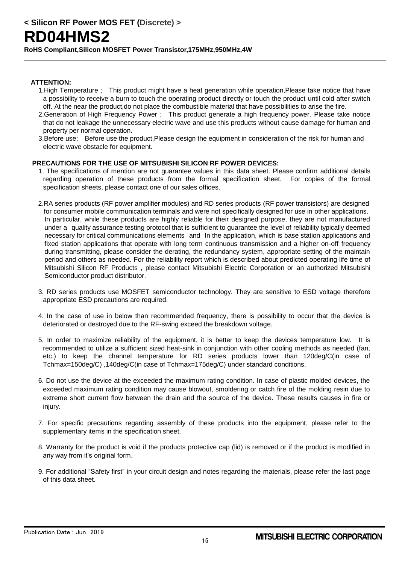#### **ATTENTION:**

- 1.High Temperature ; This product might have a heat generation while operation,Please take notice that have a possibility to receive a burn to touch the operating product directly or touch the product until cold after switch off. At the near the product,do not place the combustible material that have possibilities to arise the fire.
- 2.Generation of High Frequency Power ; This product generate a high frequency power. Please take notice that do not leakage the unnecessary electric wave and use this products without cause damage for human and property per normal operation.
- 3.Before use; Before use the product,Please design the equipment in consideration of the risk for human and electric wave obstacle for equipment.

#### **PRECAUTIONS FOR THE USE OF MITSUBISHI SILICON RF POWER DEVICES:**

- 1. The specifications of mention are not guarantee values in this data sheet. Please confirm additional details regarding operation of these products from the formal specification sheet. For copies of the formal specification sheets, please contact one of our sales offices.
- 2.RA series products (RF power amplifier modules) and RD series products (RF power transistors) are designed for consumer mobile communication terminals and were not specifically designed for use in other applications. In particular, while these products are highly reliable for their designed purpose, they are not manufactured under a quality assurance testing protocol that is sufficient to guarantee the level of reliability typically deemed necessary for critical communications elements and In the application, which is base station applications and fixed station applications that operate with long term continuous transmission and a higher on-off frequency during transmitting, please consider the derating, the redundancy system, appropriate setting of the maintain period and others as needed. For the reliability report which is described about predicted operating life time of Mitsubishi Silicon RF Products , please contact Mitsubishi Electric Corporation or an authorized Mitsubishi Semiconductor product distributor.
- 3. RD series products use MOSFET semiconductor technology. They are sensitive to ESD voltage therefore appropriate ESD precautions are required.
- 4. In the case of use in below than recommended frequency, there is possibility to occur that the device is deteriorated or destroyed due to the RF-swing exceed the breakdown voltage.
- 5. In order to maximize reliability of the equipment, it is better to keep the devices temperature low. It is recommended to utilize a sufficient sized heat-sink in conjunction with other cooling methods as needed (fan, etc.) to keep the channel temperature for RD series products lower than 120deg/C(in case of Tchmax=150deg/C) ,140deg/C(in case of Tchmax=175deg/C) under standard conditions.
- 6. Do not use the device at the exceeded the maximum rating condition. In case of plastic molded devices, the exceeded maximum rating condition may cause blowout, smoldering or catch fire of the molding resin due to extreme short current flow between the drain and the source of the device. These results causes in fire or injury.
- 7. For specific precautions regarding assembly of these products into the equipment, please refer to the supplementary items in the specification sheet.
- 8. Warranty for the product is void if the products protective cap (lid) is removed or if the product is modified in any way from it's original form.
- 9. For additional "Safety first" in your circuit design and notes regarding the materials, please refer the last page of this data sheet.